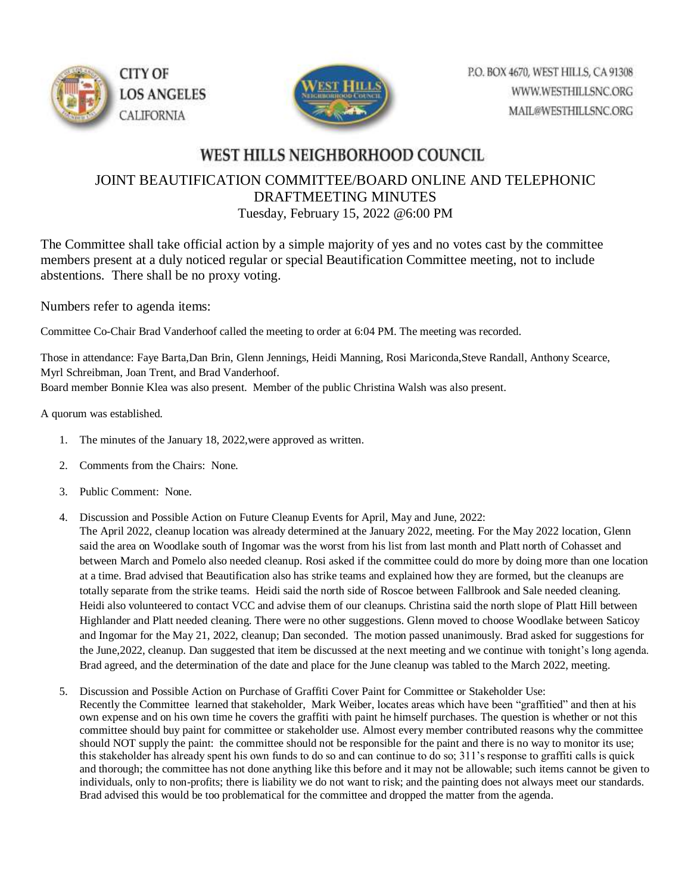



## WEST HILLS NEIGHBORHOOD COUNCIL

## JOINT BEAUTIFICATION COMMITTEE/BOARD ONLINE AND TELEPHONIC DRAFTMEETING MINUTES Tuesday, February 15, 2022 @6:00 PM

The Committee shall take official action by a simple majority of yes and no votes cast by the committee members present at a duly noticed regular or special Beautification Committee meeting, not to include abstentions. There shall be no proxy voting.

Numbers refer to agenda items:

Committee Co-Chair Brad Vanderhoof called the meeting to order at 6:04 PM. The meeting was recorded.

Those in attendance: Faye Barta,Dan Brin, Glenn Jennings, Heidi Manning, Rosi Mariconda,Steve Randall, Anthony Scearce, Myrl Schreibman, Joan Trent, and Brad Vanderhoof. Board member Bonnie Klea was also present. Member of the public Christina Walsh was also present.

A quorum was established.

- 1. The minutes of the January 18, 2022,were approved as written.
- 2. Comments from the Chairs: None.
- 3. Public Comment: None.
- 4. Discussion and Possible Action on Future Cleanup Events for April, May and June, 2022:

The April 2022, cleanup location was already determined at the January 2022, meeting. For the May 2022 location, Glenn said the area on Woodlake south of Ingomar was the worst from his list from last month and Platt north of Cohasset and between March and Pomelo also needed cleanup. Rosi asked if the committee could do more by doing more than one location at a time. Brad advised that Beautification also has strike teams and explained how they are formed, but the cleanups are totally separate from the strike teams. Heidi said the north side of Roscoe between Fallbrook and Sale needed cleaning. Heidi also volunteered to contact VCC and advise them of our cleanups. Christina said the north slope of Platt Hill between Highlander and Platt needed cleaning. There were no other suggestions. Glenn moved to choose Woodlake between Saticoy and Ingomar for the May 21, 2022, cleanup; Dan seconded. The motion passed unanimously. Brad asked for suggestions for the June,2022, cleanup. Dan suggested that item be discussed at the next meeting and we continue with tonight's long agenda. Brad agreed, and the determination of the date and place for the June cleanup was tabled to the March 2022, meeting.

5. Discussion and Possible Action on Purchase of Graffiti Cover Paint for Committee or Stakeholder Use: Recently the Committee learned that stakeholder, Mark Weiber, locates areas which have been "graffitied" and then at his own expense and on his own time he covers the graffiti with paint he himself purchases. The question is whether or not this committee should buy paint for committee or stakeholder use. Almost every member contributed reasons why the committee should NOT supply the paint: the committee should not be responsible for the paint and there is no way to monitor its use; this stakeholder has already spent his own funds to do so and can continue to do so; 311's response to graffiti calls is quick and thorough; the committee has not done anything like this before and it may not be allowable; such items cannot be given to individuals, only to non-profits; there is liability we do not want to risk; and the painting does not always meet our standards. Brad advised this would be too problematical for the committee and dropped the matter from the agenda.